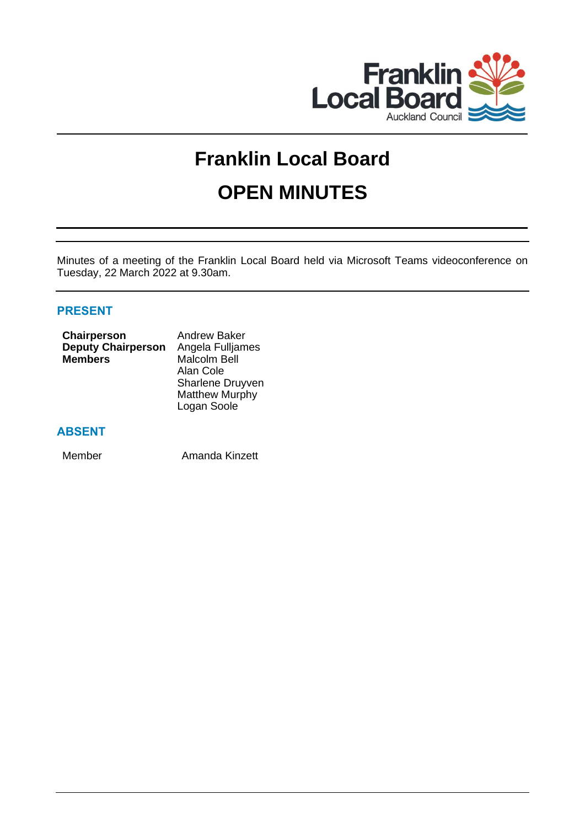

# **Franklin Local Board OPEN MINUTES**

Minutes of a meeting of the Franklin Local Board held via Microsoft Teams videoconference on Tuesday, 22 March 2022 at 9.30am.

# **PRESENT**

| <b>Chairperson</b>        | <b>Andrew Baker</b>     |
|---------------------------|-------------------------|
| <b>Deputy Chairperson</b> | Angela Fulljames        |
| <b>Members</b>            | <b>Malcolm Bell</b>     |
|                           | Alan Cole               |
|                           | <b>Sharlene Druyven</b> |
|                           | <b>Matthew Murphy</b>   |
|                           | Logan Soole             |

# **ABSENT**

Member Amanda Kinzett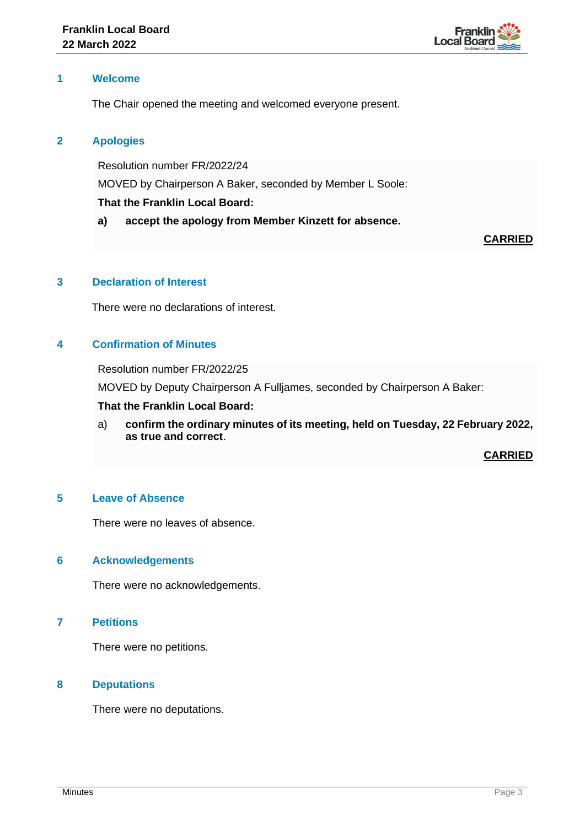

## **1 Welcome**

The Chair opened the meeting and welcomed everyone present.

# **2 Apologies**

Resolution number FR/2022/24 MOVED by Chairperson A Baker, seconded by Member L Soole: **That the Franklin Local Board:**

**a) accept the apology from Member Kinzett for absence.**

# **CARRIED**

# **3 Declaration of Interest**

There were no declarations of interest.

# **4 Confirmation of Minutes**

Resolution number FR/2022/25

MOVED by Deputy Chairperson A Fulljames, seconded by Chairperson A Baker:

## **That the Franklin Local Board:**

a) **confirm the ordinary minutes of its meeting, held on Tuesday, 22 February 2022, as true and correct**.

**CARRIED**

# **5 Leave of Absence**

There were no leaves of absence.

## **6 Acknowledgements**

There were no acknowledgements.

**7 Petitions**

There were no petitions.

## **8 Deputations**

There were no deputations.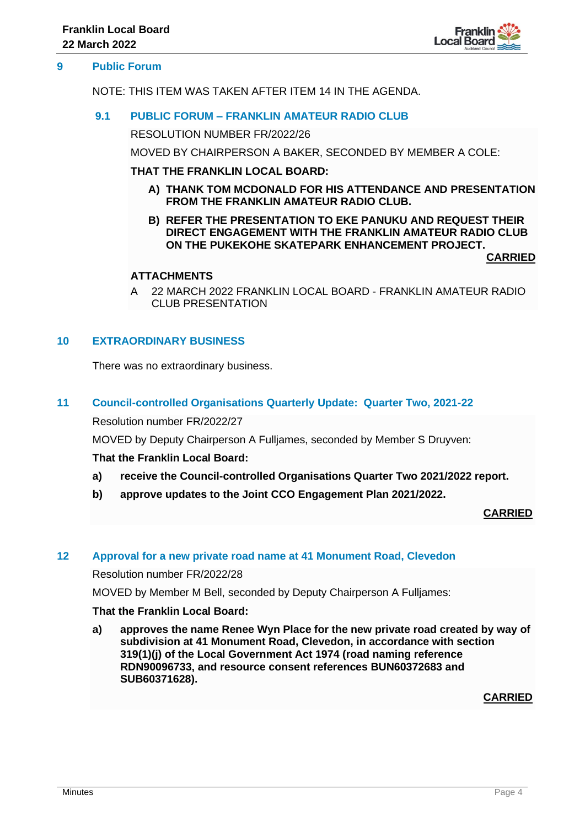

## **9 Public Forum**

NOTE: THIS ITEM WAS TAKEN AFTER ITEM 14 IN THE AGENDA.

## **9.1 PUBLIC FORUM – FRANKLIN AMATEUR RADIO CLUB**

RESOLUTION NUMBER FR/2022/26

MOVED BY CHAIRPERSON A BAKER, SECONDED BY MEMBER A COLE:

#### **THAT THE FRANKLIN LOCAL BOARD:**

- **A) THANK TOM MCDONALD FOR HIS ATTENDANCE AND PRESENTATION FROM THE FRANKLIN AMATEUR RADIO CLUB.**
- **B) REFER THE PRESENTATION TO EKE PANUKU AND REQUEST THEIR DIRECT ENGAGEMENT WITH THE FRANKLIN AMATEUR RADIO CLUB ON THE PUKEKOHE SKATEPARK ENHANCEMENT PROJECT.**

**CARRIED**

# **ATTACHMENTS**

A 22 MARCH 2022 FRANKLIN LOCAL BOARD - FRANKLIN AMATEUR RADIO CLUB PRESENTATION

# **10 EXTRAORDINARY BUSINESS**

There was no extraordinary business.

## **11 Council-controlled Organisations Quarterly Update: Quarter Two, 2021-22**

Resolution number FR/2022/27

MOVED by Deputy Chairperson A Fulljames, seconded by Member S Druyven:

## **That the Franklin Local Board:**

- **a) receive the Council-controlled Organisations Quarter Two 2021/2022 report.**
- **b) approve updates to the Joint CCO Engagement Plan 2021/2022.**

**CARRIED**

# **12 Approval for a new private road name at 41 Monument Road, Clevedon**

Resolution number FR/2022/28

MOVED by Member M Bell, seconded by Deputy Chairperson A Fulljames:

## **That the Franklin Local Board:**

**a) approves the name Renee Wyn Place for the new private road created by way of subdivision at 41 Monument Road, Clevedon, in accordance with section 319(1)(j) of the Local Government Act 1974 (road naming reference RDN90096733, and resource consent references BUN60372683 and SUB60371628).**

**CARRIED**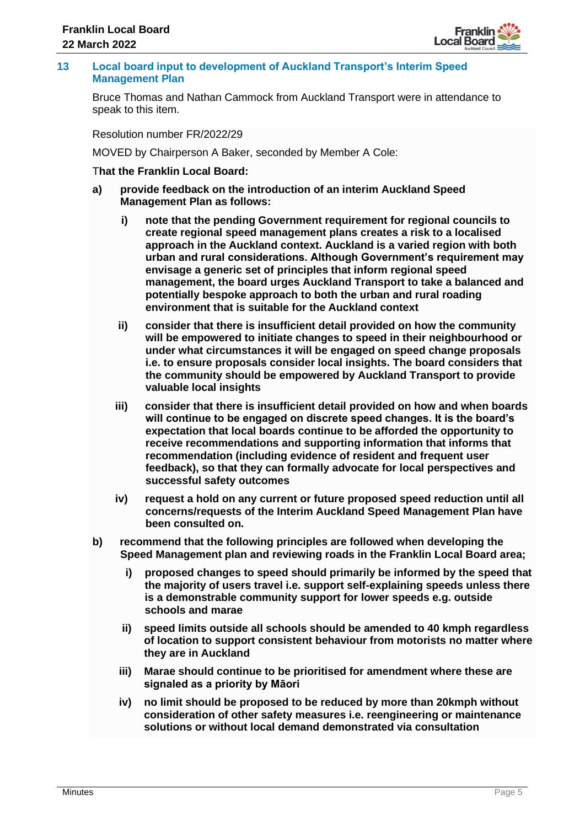

# **13 Local board input to development of Auckland Transport's Interim Speed Management Plan**

Bruce Thomas and Nathan Cammock from Auckland Transport were in attendance to speak to this item.

Resolution number FR/2022/29

MOVED by Chairperson A Baker, seconded by Member A Cole:

## T**hat the Franklin Local Board:**

- **a) provide feedback on the introduction of an interim Auckland Speed Management Plan as follows:**
	- **i) note that the pending Government requirement for regional councils to create regional speed management plans creates a risk to a localised approach in the Auckland context. Auckland is a varied region with both urban and rural considerations. Although Government's requirement may envisage a generic set of principles that inform regional speed management, the board urges Auckland Transport to take a balanced and potentially bespoke approach to both the urban and rural roading environment that is suitable for the Auckland context**
	- **ii) consider that there is insufficient detail provided on how the community will be empowered to initiate changes to speed in their neighbourhood or under what circumstances it will be engaged on speed change proposals i.e. to ensure proposals consider local insights. The board considers that the community should be empowered by Auckland Transport to provide valuable local insights**
	- **iii) consider that there is insufficient detail provided on how and when boards will continue to be engaged on discrete speed changes. It is the board's expectation that local boards continue to be afforded the opportunity to receive recommendations and supporting information that informs that recommendation (including evidence of resident and frequent user feedback), so that they can formally advocate for local perspectives and successful safety outcomes**
	- **iv) request a hold on any current or future proposed speed reduction until all concerns/requests of the Interim Auckland Speed Management Plan have been consulted on.**
- **b) recommend that the following principles are followed when developing the Speed Management plan and reviewing roads in the Franklin Local Board area;**
	- **i) proposed changes to speed should primarily be informed by the speed that the majority of users travel i.e. support self-explaining speeds unless there is a demonstrable community support for lower speeds e.g. outside schools and marae**
	- **ii) speed limits outside all schools should be amended to 40 kmph regardless of location to support consistent behaviour from motorists no matter where they are in Auckland**
	- **iii) Marae should continue to be prioritised for amendment where these are signaled as a priority by Māori**
	- **iv) no limit should be proposed to be reduced by more than 20kmph without consideration of other safety measures i.e. reengineering or maintenance solutions or without local demand demonstrated via consultation**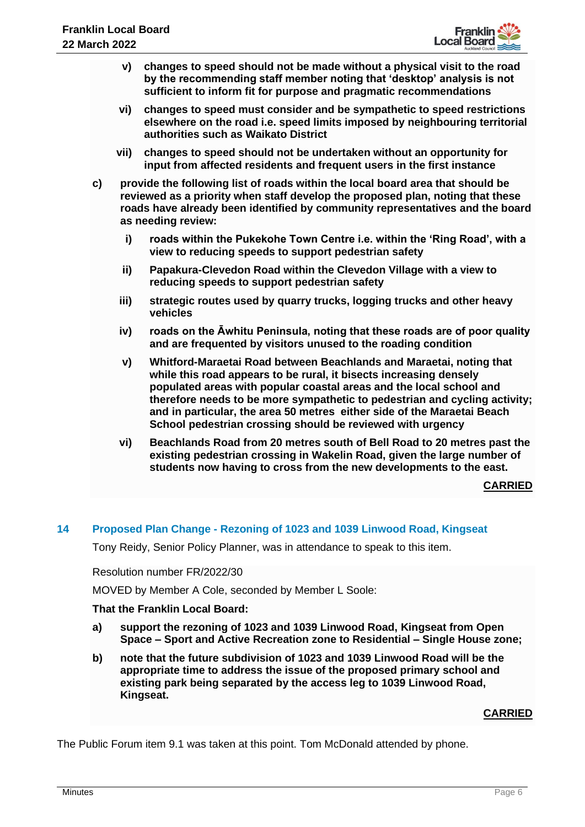

- **v) changes to speed should not be made without a physical visit to the road by the recommending staff member noting that 'desktop' analysis is not sufficient to inform fit for purpose and pragmatic recommendations**
- **vi) changes to speed must consider and be sympathetic to speed restrictions elsewhere on the road i.e. speed limits imposed by neighbouring territorial authorities such as Waikato District**
- **vii) changes to speed should not be undertaken without an opportunity for input from affected residents and frequent users in the first instance**
- **c) provide the following list of roads within the local board area that should be reviewed as a priority when staff develop the proposed plan, noting that these roads have already been identified by community representatives and the board as needing review:**
	- **i) roads within the Pukekohe Town Centre i.e. within the 'Ring Road', with a view to reducing speeds to support pedestrian safety**
	- **ii) Papakura-Clevedon Road within the Clevedon Village with a view to reducing speeds to support pedestrian safety**
	- **iii) strategic routes used by quarry trucks, logging trucks and other heavy vehicles**
	- **iv) roads on the Āwhitu Peninsula, noting that these roads are of poor quality and are frequented by visitors unused to the roading condition**
	- **v) Whitford-Maraetai Road between Beachlands and Maraetai, noting that while this road appears to be rural, it bisects increasing densely populated areas with popular coastal areas and the local school and therefore needs to be more sympathetic to pedestrian and cycling activity; and in particular, the area 50 metres either side of the Maraetai Beach School pedestrian crossing should be reviewed with urgency**
	- **vi) Beachlands Road from 20 metres south of Bell Road to 20 metres past the existing pedestrian crossing in Wakelin Road, given the large number of students now having to cross from the new developments to the east.**

**CARRIED**

# **14 Proposed Plan Change - Rezoning of 1023 and 1039 Linwood Road, Kingseat**

Tony Reidy, Senior Policy Planner, was in attendance to speak to this item.

Resolution number FR/2022/30

MOVED by Member A Cole, seconded by Member L Soole:

# **That the Franklin Local Board:**

- **a) support the rezoning of 1023 and 1039 Linwood Road, Kingseat from Open Space – Sport and Active Recreation zone to Residential – Single House zone;**
- **b) note that the future subdivision of 1023 and 1039 Linwood Road will be the appropriate time to address the issue of the proposed primary school and existing park being separated by the access leg to 1039 Linwood Road, Kingseat.**

# **CARRIED**

The Public Forum item 9.1 was taken at this point. Tom McDonald attended by phone.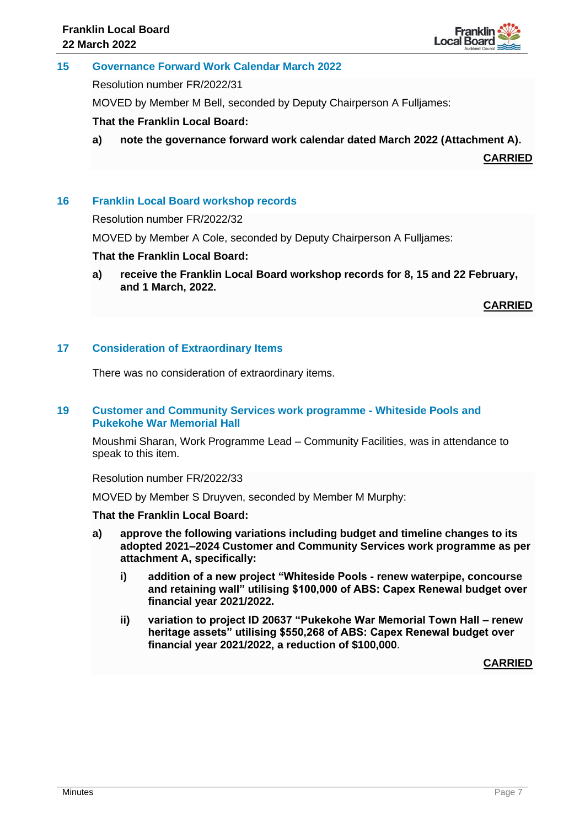

## **15 Governance Forward Work Calendar March 2022**

Resolution number FR/2022/31

MOVED by Member M Bell, seconded by Deputy Chairperson A Fulljames:

## **That the Franklin Local Board:**

**a) note the governance forward work calendar dated March 2022 (Attachment A).**

**CARRIED**

# **16 Franklin Local Board workshop records**

Resolution number FR/2022/32

MOVED by Member A Cole, seconded by Deputy Chairperson A Fulljames:

## **That the Franklin Local Board:**

**a) receive the Franklin Local Board workshop records for 8, 15 and 22 February, and 1 March, 2022.**

**CARRIED**

## **17 Consideration of Extraordinary Items**

There was no consideration of extraordinary items.

## **19 Customer and Community Services work programme - Whiteside Pools and Pukekohe War Memorial Hall**

Moushmi Sharan, Work Programme Lead – Community Facilities, was in attendance to speak to this item.

## Resolution number FR/2022/33

MOVED by Member S Druyven, seconded by Member M Murphy:

## **That the Franklin Local Board:**

- **a) approve the following variations including budget and timeline changes to its adopted 2021–2024 Customer and Community Services work programme as per attachment A, specifically:**
	- **i) addition of a new project "Whiteside Pools - renew waterpipe, concourse and retaining wall" utilising \$100,000 of ABS: Capex Renewal budget over financial year 2021/2022.**
	- **ii) variation to project ID 20637 "Pukekohe War Memorial Town Hall – renew heritage assets" utilising \$550,268 of ABS: Capex Renewal budget over financial year 2021/2022, a reduction of \$100,000**.

**CARRIED**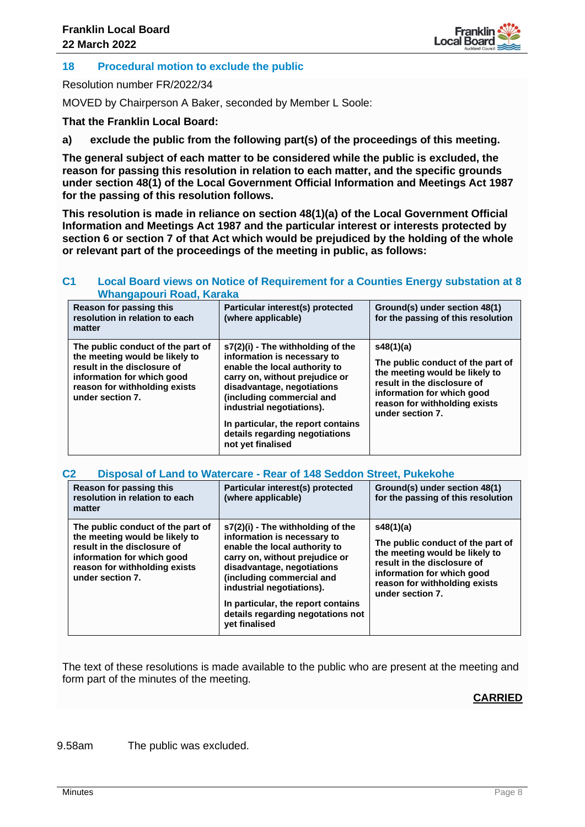

# **18 Procedural motion to exclude the public**

Resolution number FR/2022/34

MOVED by Chairperson A Baker, seconded by Member L Soole:

**That the Franklin Local Board:**

**a) exclude the public from the following part(s) of the proceedings of this meeting.**

**The general subject of each matter to be considered while the public is excluded, the reason for passing this resolution in relation to each matter, and the specific grounds under section 48(1) of the Local Government Official Information and Meetings Act 1987 for the passing of this resolution follows.**

**This resolution is made in reliance on section 48(1)(a) of the Local Government Official Information and Meetings Act 1987 and the particular interest or interests protected by section 6 or section 7 of that Act which would be prejudiced by the holding of the whole or relevant part of the proceedings of the meeting in public, as follows:**

## **C1 Local Board views on Notice of Requirement for a Counties Energy substation at 8 Whangapouri Road, Karaka**

| Reason for passing this<br>resolution in relation to each<br>matter                                                                                                                   | Particular interest(s) protected<br>(where applicable)                                                                                                                                                                                                                                                                   | Ground(s) under section 48(1)<br>for the passing of this resolution                                                                                                                                |
|---------------------------------------------------------------------------------------------------------------------------------------------------------------------------------------|--------------------------------------------------------------------------------------------------------------------------------------------------------------------------------------------------------------------------------------------------------------------------------------------------------------------------|----------------------------------------------------------------------------------------------------------------------------------------------------------------------------------------------------|
| The public conduct of the part of<br>the meeting would be likely to<br>result in the disclosure of<br>information for which good<br>reason for withholding exists<br>under section 7. | s7(2)(i) - The withholding of the<br>information is necessary to<br>enable the local authority to<br>carry on, without prejudice or<br>disadvantage, negotiations<br>(including commercial and<br>industrial negotiations).<br>In particular, the report contains<br>details regarding negotiations<br>not yet finalised | s48(1)(a)<br>The public conduct of the part of<br>the meeting would be likely to<br>result in the disclosure of<br>information for which good<br>reason for withholding exists<br>under section 7. |

## **C2 Disposal of Land to Watercare - Rear of 148 Seddon Street, Pukekohe**

| Reason for passing this<br>resolution in relation to each<br>matter                                                                                                                   | Particular interest(s) protected<br>(where applicable)                                                                                                                                                                                                                                                                         | Ground(s) under section 48(1)<br>for the passing of this resolution                                                                                                                                |
|---------------------------------------------------------------------------------------------------------------------------------------------------------------------------------------|--------------------------------------------------------------------------------------------------------------------------------------------------------------------------------------------------------------------------------------------------------------------------------------------------------------------------------|----------------------------------------------------------------------------------------------------------------------------------------------------------------------------------------------------|
| The public conduct of the part of<br>the meeting would be likely to<br>result in the disclosure of<br>information for which good<br>reason for withholding exists<br>under section 7. | s7(2)(i) - The withholding of the<br>information is necessary to<br>enable the local authority to<br>carry on, without prejudice or<br>disadvantage, negotiations<br>(including commercial and<br>industrial negotiations).<br>In particular, the report contains<br>details regarding negotations not<br><b>vet finalised</b> | s48(1)(a)<br>The public conduct of the part of<br>the meeting would be likely to<br>result in the disclosure of<br>information for which good<br>reason for withholding exists<br>under section 7. |

The text of these resolutions is made available to the public who are present at the meeting and form part of the minutes of the meeting.

# **CARRIED**

9.58am The public was excluded.